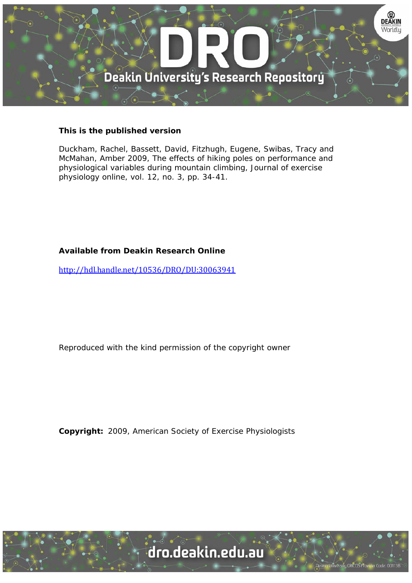

## **This is the published version**

Duckham, Rachel, Bassett, David, Fitzhugh, Eugene, Swibas, Tracy and McMahan, Amber 2009, The effects of hiking poles on performance and physiological variables during mountain climbing, Journal of exercise physiology online, vol. 12, no. 3, pp. 34-41.

# **Available from Deakin Research Online**

http://hdl.handle.net/10536/DRO/DU:30063941

Reproduced with the kind permission of the copyright owner

**Copyright:** 2009, American Society of Exercise Physiologists

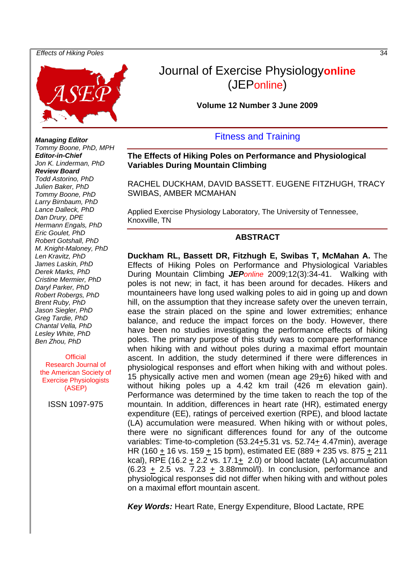

# Journal of Exercise Physiology**online** (JEPonline)

**Volume 12 Number 3 June 2009** 

# Fitness and Training

**The Effects of Hiking Poles on Performance and Physiological Variables During Mountain Climbing** 

RACHEL DUCKHAM, DAVID BASSETT. EUGENE FITZHUGH, TRACY SWIBAS, AMBER MCMAHAN

Applied Exercise Physiology Laboratory, The University of Tennessee, Knoxville, TN

#### **ABSTRACT**

**Duckham RL, Bassett DR, Fitzhugh E, Swibas T, McMahan A.** The Effects of Hiking Poles on Performance and Physiological Variables During Mountain Climbing *JEPonline* 2009;12(3):34-41. Walking with poles is not new; in fact, it has been around for decades. Hikers and mountaineers have long used walking poles to aid in going up and down hill, on the assumption that they increase safety over the uneven terrain, ease the strain placed on the spine and lower extremities; enhance balance, and reduce the impact forces on the body. However, there have been no studies investigating the performance effects of hiking poles. The primary purpose of this study was to compare performance when hiking with and without poles during a maximal effort mountain ascent. In addition, the study determined if there were differences in physiological responses and effort when hiking with and without poles. 15 physically active men and women (mean age 29+6) hiked with and without hiking poles up a 4.42 km trail (426 m elevation gain). Performance was determined by the time taken to reach the top of the mountain. In addition, differences in heart rate (HR), estimated energy expenditure (EE), ratings of perceived exertion (RPE), and blood lactate (LA) accumulation were measured. When hiking with or without poles, there were no significant differences found for any of the outcome variables: Time-to-completion (53.24+5.31 vs. 52.74+ 4.47min), average HR (160  $\pm$  16 vs. 159  $\pm$  15 bpm), estimated EE (889 + 235 vs. 875  $\pm$  211 kcal), RPE  $(16.2 + 2.2 \text{ vs. } 17.1 + 2.0)$  or blood lactate  $(LA)$  accumulation  $(6.23 + 2.5 \text{ vs. } 7.23 + 3.88 \text{mmol/l})$ . In conclusion, performance and physiological responses did not differ when hiking with and without poles on a maximal effort mountain ascent.

*Key Words:* Heart Rate, Energy Expenditure, Blood Lactate, RPE

*Managing Editor Tommy Boone, PhD, MPH Editor-in-Chief Jon K. Linderman, PhD Review Board Todd Astorino, PhD Julien Baker, PhD Tommy Boone, PhD Larry Birnbaum, PhD Lance Dalleck, PhD Dan Drury, DPE Hermann Engals, PhD Eric Goulet, PhD Robert Gotshall, PhD M. Knight-Maloney, PhD Len Kravitz, PhD James Laskin, PhD Derek Marks, PhD Cristine Mermier, PhD Daryl Parker, PhD Robert Robergs, PhD Brent Ruby, PhD Jason Siegler, PhD Greg Tardie, PhD Chantal Vella, PhD Lesley White, PhD Ben Zhou, PhD* 

**Official** Research Journal of the American Society of Exercise Physiologists (ASEP)

ISSN 1097-975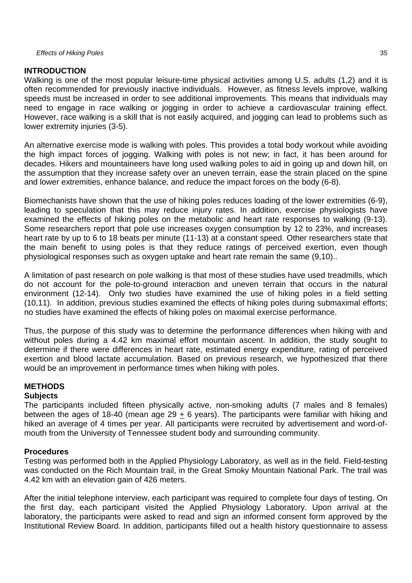# **INTRODUCTION**

Walking is one of the most popular leisure-time physical activities among U.S. adults (1,2) and it is often recommended for previously inactive individuals. However, as fitness levels improve, walking speeds must be increased in order to see additional improvements. This means that individuals may need to engage in race walking or jogging in order to achieve a cardiovascular training effect. However, race walking is a skill that is not easily acquired, and jogging can lead to problems such as lower extremity injuries (3-5).

An alternative exercise mode is walking with poles. This provides a total body workout while avoiding the high impact forces of jogging. Walking with poles is not new; in fact, it has been around for decades. Hikers and mountaineers have long used walking poles to aid in going up and down hill, on the assumption that they increase safety over an uneven terrain, ease the strain placed on the spine and lower extremities, enhance balance, and reduce the impact forces on the body (6-8).

Biomechanists have shown that the use of hiking poles reduces loading of the lower extremities (6-9), leading to speculation that this may reduce injury rates. In addition, exercise physiologists have examined the effects of hiking poles on the metabolic and heart rate responses to walking (9-13). Some researchers report that pole use increases oxygen consumption by 12 to 23%, and increases heart rate by up to 6 to 18 beats per minute (11-13) at a constant speed. Other researchers state that the main benefit to using poles is that they reduce ratings of perceived exertion, even though physiological responses such as oxygen uptake and heart rate remain the same (9,10)..

A limitation of past research on pole walking is that most of these studies have used treadmills, which do not account for the pole-to-ground interaction and uneven terrain that occurs in the natural environment (12-14). Only two studies have examined the use of hiking poles in a field setting (10,11). In addition, previous studies examined the effects of hiking poles during submaximal efforts; no studies have examined the effects of hiking poles on maximal exercise performance.

Thus, the purpose of this study was to determine the performance differences when hiking with and without poles during a 4.42 km maximal effort mountain ascent. In addition, the study sought to determine if there were differences in heart rate, estimated energy expenditure, rating of perceived exertion and blood lactate accumulation. Based on previous research, we hypothesized that there would be an improvement in performance times when hiking with poles.

# **METHODS**

#### **Subjects**

The participants included fifteen physically active, non-smoking adults (7 males and 8 females) between the ages of 18-40 (mean age 29 + 6 years). The participants were familiar with hiking and hiked an average of 4 times per year. All participants were recruited by advertisement and word-ofmouth from the University of Tennessee student body and surrounding community.

# **Procedures**

Testing was performed both in the Applied Physiology Laboratory, as well as in the field. Field-testing was conducted on the Rich Mountain trail, in the Great Smoky Mountain National Park. The trail was 4.42 km with an elevation gain of 426 meters.

After the initial telephone interview, each participant was required to complete four days of testing. On the first day, each participant visited the Applied Physiology Laboratory. Upon arrival at the laboratory, the participants were asked to read and sign an informed consent form approved by the Institutional Review Board. In addition, participants filled out a health history questionnaire to assess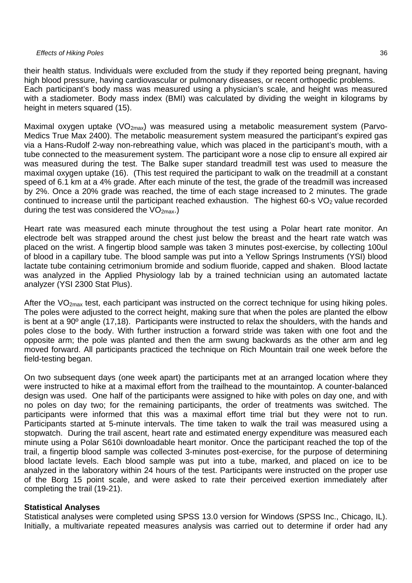their health status. Individuals were excluded from the study if they reported being pregnant, having high blood pressure, having cardiovascular or pulmonary diseases, or recent orthopedic problems. Each participant's body mass was measured using a physician's scale, and height was measured with a stadiometer. Body mass index (BMI) was calculated by dividing the weight in kilograms by height in meters squared (15).

Maximal oxygen uptake ( $VO_{2max}$ ) was measured using a metabolic measurement system (Parvo-Medics True Max 2400). The metabolic measurement system measured the participant's expired gas via a Hans-Rudolf 2-way non-rebreathing value, which was placed in the participant's mouth, with a tube connected to the measurement system. The participant wore a nose clip to ensure all expired air was measured during the test. The Balke super standard treadmill test was used to measure the maximal oxygen uptake (16). (This test required the participant to walk on the treadmill at a constant speed of 6.1 km at a 4% grade. After each minute of the test, the grade of the treadmill was increased by 2%. Once a 20% grade was reached, the time of each stage increased to 2 minutes. The grade continued to increase until the participant reached exhaustion. The highest 60-s  $VO<sub>2</sub>$  value recorded during the test was considered the  $VO<sub>2max</sub>$ .

Heart rate was measured each minute throughout the test using a Polar heart rate monitor. An electrode belt was strapped around the chest just below the breast and the heart rate watch was placed on the wrist. A fingertip blood sample was taken 3 minutes post-exercise, by collecting 100ul of blood in a capillary tube. The blood sample was put into a Yellow Springs Instruments (YSI) blood lactate tube containing cetrimonium bromide and sodium fluoride, capped and shaken. Blood lactate was analyzed in the Applied Physiology lab by a trained technician using an automated lactate analyzer (YSI 2300 Stat Plus).

After the  $VO<sub>2max</sub>$  test, each participant was instructed on the correct technique for using hiking poles. The poles were adjusted to the correct height, making sure that when the poles are planted the elbow is bent at a 90º angle (17,18). Participants were instructed to relax the shoulders, with the hands and poles close to the body. With further instruction a forward stride was taken with one foot and the opposite arm; the pole was planted and then the arm swung backwards as the other arm and leg moved forward. All participants practiced the technique on Rich Mountain trail one week before the field-testing began.

On two subsequent days (one week apart) the participants met at an arranged location where they were instructed to hike at a maximal effort from the trailhead to the mountaintop. A counter-balanced design was used. One half of the participants were assigned to hike with poles on day one, and with no poles on day two; for the remaining participants, the order of treatments was switched. The participants were informed that this was a maximal effort time trial but they were not to run. Participants started at 5-minute intervals. The time taken to walk the trail was measured using a stopwatch. During the trail ascent, heart rate and estimated energy expenditure was measured each minute using a Polar S610i downloadable heart monitor. Once the participant reached the top of the trail, a fingertip blood sample was collected 3-minutes post-exercise, for the purpose of determining blood lactate levels. Each blood sample was put into a tube, marked, and placed on ice to be analyzed in the laboratory within 24 hours of the test. Participants were instructed on the proper use of the Borg 15 point scale, and were asked to rate their perceived exertion immediately after completing the trail (19-21).

#### **Statistical Analyses**

Statistical analyses were completed using SPSS 13.0 version for Windows (SPSS Inc., Chicago, IL). Initially, a multivariate repeated measures analysis was carried out to determine if order had any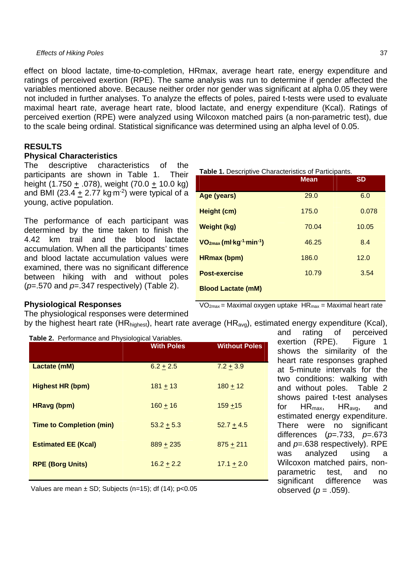effect on blood lactate, time-to-completion, HRmax, average heart rate, energy expenditure and ratings of perceived exertion (RPE). The same analysis was run to determine if gender affected the variables mentioned above. Because neither order nor gender was significant at alpha 0.05 they were not included in further analyses. To analyze the effects of poles, paired t-tests were used to evaluate maximal heart rate, average heart rate, blood lactate, and energy expenditure (Kcal). Ratings of perceived exertion (RPE) were analyzed using Wilcoxon matched pairs (a non-parametric test), due to the scale being ordinal. Statistical significance was determined using an alpha level of 0.05.

#### **RESULTS**

#### **Physical Characteristics**

The descriptive characteristics of the participants are shown in Table 1. Their height (1.750 + .078), weight (70.0 + 10.0 kg) and BMI (23.4  $\pm$  2.77 kg m<sup>-2</sup>) were typical of a young, active population.

The performance of each participant was determined by the time taken to finish the 4.42 km trail and the blood lactate accumulation. When all the participants' times and blood lactate accumulation values were examined, there was no significant difference between hiking with and without poles (*p*=.570 and *p*=.347 respectively) (Table 2).

**Table 1.** Descriptive Characteristics of Participants.

|                                                    | <b>Mean</b> | <b>SD</b> |
|----------------------------------------------------|-------------|-----------|
| Age (years)                                        | 29.0        | 6.0       |
| Height (cm)                                        | 175.0       | 0.078     |
| Weight (kg)                                        | 70.04       | 10.05     |
| $VO2max$ (ml·kg <sup>-1</sup> ·min <sup>-1</sup> ) | 46.25       | 8.4       |
| <b>HRmax (bpm)</b>                                 | 186.0       | 12.0      |
| <b>Post-exercise</b>                               | 10.79       | 3.54      |
| <b>Blood Lactate (mM)</b>                          |             |           |

#### **Physiological Responses**

 $VO<sub>2max</sub>$  = Maximal oxygen uptake  $HR<sub>max</sub>$  = Maximal heart rate

The physiological responses were determined by the highest heart rate (HRhighest), heart rate average (HRavg), estimated energy expenditure (Kcal),

| Table 2. Performance and Physiological Variables. | <b>With Poles</b> | <b>Without Poles</b> |
|---------------------------------------------------|-------------------|----------------------|
| Lactate (mM)                                      | $6.2 + 2.5$       | $7.2 + 3.9$          |
| <b>Highest HR (bpm)</b>                           | $181 + 13$        | $180 + 12$           |
| <b>HRavg (bpm)</b>                                | $160 + 16$        | $159 + 15$           |
| <b>Time to Completion (min)</b>                   | $53.2 + 5.3$      | $52.7 + 4.5$         |
| <b>Estimated EE (Kcal)</b>                        | $889 + 235$       | $875 + 211$          |
| <b>RPE (Borg Units)</b>                           | $16.2 + 2.2$      | $17.1 + 2.0$         |

and rating of perceived exertion (RPE). Figure 1 shows the similarity of the heart rate responses graphed at 5-minute intervals for the two conditions: walking with and without poles. Table 2 shows paired t-test analyses for HRmax, HRavg, and estimated energy expenditure. There were no significant differences (*p*=.733, *p*=.673 and *p*=.638 respectively). RPE was analyzed using a Wilcoxon matched pairs, nonparametric test, and no significant difference was observed  $(p = .059)$ .

Values are mean  $\pm$  SD; Subjects (n=15); df (14); p<0.05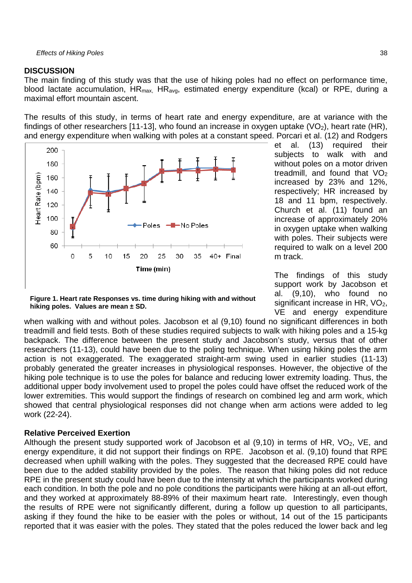#### **DISCUSSION**

The main finding of this study was that the use of hiking poles had no effect on performance time, blood lactate accumulation,  $HR_{max}$ ,  $HR_{av}$ , estimated energy expenditure (kcal) or RPE, during a maximal effort mountain ascent.

The results of this study, in terms of heart rate and energy expenditure, are at variance with the findings of other researchers [11-13], who found an increase in oxygen uptake ( $VO<sub>2</sub>$ ), heart rate (HR), and energy expenditure when walking with poles at a constant speed. Porcari et al. (12) and Rodgers



et al. (13) required their subjects to walk with and without poles on a motor driven treadmill, and found that  $VO<sub>2</sub>$ increased by 23% and 12%, respectively; HR increased by 18 and 11 bpm, respectively. Church et al. (11) found an increase of approximately 20% in oxygen uptake when walking with poles. Their subjects were required to walk on a level 200 m track.

The findings of this study support work by Jacobson et al. (9,10), who found no significant increase in HR,  $VO<sub>2</sub>$ , VE and energy expenditure

**Figure 1. Heart rate Responses vs. time during hiking with and without hiking poles. Values are mean ± SD.** 

when walking with and without poles. Jacobson et al (9,10) found no significant differences in both treadmill and field tests. Both of these studies required subjects to walk with hiking poles and a 15-kg backpack. The difference between the present study and Jacobson's study, versus that of other researchers (11-13), could have been due to the poling technique. When using hiking poles the arm action is not exaggerated. The exaggerated straight-arm swing used in earlier studies (11-13) probably generated the greater increases in physiological responses. However, the objective of the hiking pole technique is to use the poles for balance and reducing lower extremity loading. Thus, the additional upper body involvement used to propel the poles could have offset the reduced work of the lower extremities. This would support the findings of research on combined leg and arm work, which showed that central physiological responses did not change when arm actions were added to leg work (22-24).

#### **Relative Perceived Exertion**

Although the present study supported work of Jacobson et al  $(9,10)$  in terms of HR, VO<sub>2</sub>, VE, and energy expenditure, it did not support their findings on RPE. Jacobson et al. (9,10) found that RPE decreased when uphill walking with the poles. They suggested that the decreased RPE could have been due to the added stability provided by the poles. The reason that hiking poles did not reduce RPE in the present study could have been due to the intensity at which the participants worked during each condition. In both the pole and no pole conditions the participants were hiking at an all-out effort, and they worked at approximately 88-89% of their maximum heart rate. Interestingly, even though the results of RPE were not significantly different, during a follow up question to all participants, asking if they found the hike to be easier with the poles or without, 14 out of the 15 participants reported that it was easier with the poles. They stated that the poles reduced the lower back and leg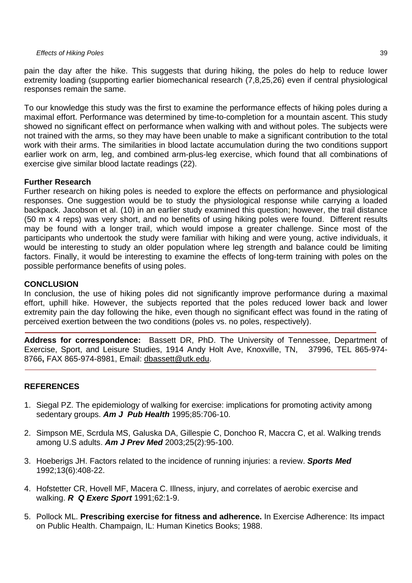pain the day after the hike. This suggests that during hiking, the poles do help to reduce lower extremity loading (supporting earlier biomechanical research (7,8,25,26) even if central physiological responses remain the same.

To our knowledge this study was the first to examine the performance effects of hiking poles during a maximal effort. Performance was determined by time-to-completion for a mountain ascent. This study showed no significant effect on performance when walking with and without poles. The subjects were not trained with the arms, so they may have been unable to make a significant contribution to the total work with their arms. The similarities in blood lactate accumulation during the two conditions support earlier work on arm, leg, and combined arm-plus-leg exercise, which found that all combinations of exercise give similar blood lactate readings (22).

## **Further Research**

Further research on hiking poles is needed to explore the effects on performance and physiological responses. One suggestion would be to study the physiological response while carrying a loaded backpack. Jacobson et al. (10) in an earlier study examined this question; however, the trail distance (50 m x 4 reps) was very short, and no benefits of using hiking poles were found. Different results may be found with a longer trail, which would impose a greater challenge. Since most of the participants who undertook the study were familiar with hiking and were young, active individuals, it would be interesting to study an older population where leg strength and balance could be limiting factors. Finally, it would be interesting to examine the effects of long-term training with poles on the possible performance benefits of using poles.

## **CONCLUSION**

In conclusion, the use of hiking poles did not significantly improve performance during a maximal effort, uphill hike. However, the subjects reported that the poles reduced lower back and lower extremity pain the day following the hike, even though no significant effect was found in the rating of perceived exertion between the two conditions (poles vs. no poles, respectively).

**Address for correspondence:** Bassett DR, PhD. The University of Tennessee, Department of Exercise, Sport, and Leisure Studies, 1914 Andy Holt Ave, Knoxville, TN, 37996, TEL 865-974- 8766**,** FAX 865-974-8981, Email: dbassett@utk.edu.

# **REFERENCES**

- 1. Siegal PZ. The epidemiology of walking for exercise: implications for promoting activity among sedentary groups. *Am J Pub Health* 1995;85:706-10.
- 2. Simpson ME, Scrdula MS, Galuska DA, Gillespie C, Donchoo R, Maccra C, et al. Walking trends among U.S adults. *Am J Prev Med* 2003;25(2):95-100.
- 3. Hoeberigs JH. Factors related to the incidence of running injuries: a review. *Sports Med*  1992;13(6):408-22.
- 4. Hofstetter CR, Hovell MF, Macera C. Illness, injury, and correlates of aerobic exercise and walking. *R Q Exerc Sport* 1991;62:1-9.
- 5. Pollock ML. **Prescribing exercise for fitness and adherence.** In Exercise Adherence: Its impact on Public Health. Champaign, IL: Human Kinetics Books; 1988.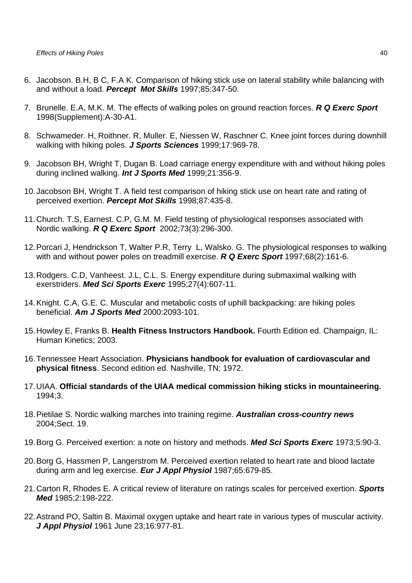- 6. Jacobson. B.H, B C, F.A K. Comparison of hiking stick use on lateral stability while balancing with and without a load. *Percept Mot Skills* 1997;85:347-50.
- 7. Brunelle. E.A, M.K. M. The effects of walking poles on ground reaction forces. *R Q Exerc Sport* 1998(Supplement):A-30-A1.
- 8. Schwameder. H, Roithner. R, Muller. E, Niessen W, Raschner C. Knee joint forces during downhill walking with hiking poles. *J Sports Sciences* 1999;17:969-78.
- 9. Jacobson BH, Wright T, Dugan B. Load carriage energy expenditure with and without hiking poles during inclined walking. *Int J Sports Med* 1999;21:356-9.
- 10. Jacobson BH, Wright T. A field test comparison of hiking stick use on heart rate and rating of perceived exertion. *Percept Mot Skills* 1998;87:435-8.
- 11. Church. T.S, Earnest. C.P, G.M. M. Field testing of physiological responses associated with Nordic walking. *R Q Exerc Sport* 2002;73(3):296-300.
- 12. Porcari J, Hendrickson T, Walter P.R, Terry L, Walsko. G. The physiological responses to walking with and without power poles on treadmill exercise. *R Q Exerc Sport* 1997;68(2):161-6.
- 13. Rodgers. C.D, Vanheest. J.L, C.L. S. Energy expenditure during submaximal walking with exerstriders. *Med Sci Sports Exerc* 1995;27(4):607-11.
- 14. Knight. C.A, G.E. C. Muscular and metabolic costs of uphill backpacking: are hiking poles beneficial. *Am J Sports Med* 2000:2093-101.
- 15. Howley E, Franks B. **Health Fitness Instructors Handbook.** Fourth Edition ed. Champaign, IL: Human Kinetics; 2003.
- 16. Tennessee Heart Association. **Physicians handbook for evaluation of cardiovascular and physical fitness**. Second edition ed. Nashville, TN; 1972.
- 17. UIAA. **Official standards of the UIAA medical commission hiking sticks in mountaineering.** 1994;3.
- 18. Pietilae S. Nordic walking marches into training regime. *Australian cross-country news* 2004;Sect. 19.
- 19. Borg G. Perceived exertion: a note on history and methods. *Med Sci Sports Exerc* 1973;5:90-3.
- 20. Borg G, Hassmen P, Langerstrom M. Perceived exertion related to heart rate and blood lactate during arm and leg exercise. *Eur J Appl Physiol* 1987;65:679-85.
- 21. Carton R, Rhodes E. A critical review of literature on ratings scales for perceived exertion. *Sports Med* 1985;2:198-222.
- 22. Astrand PO, Saltin B. Maximal oxygen uptake and heart rate in various types of muscular activity. *J Appl Physiol* 1961 June 23;16:977-81.